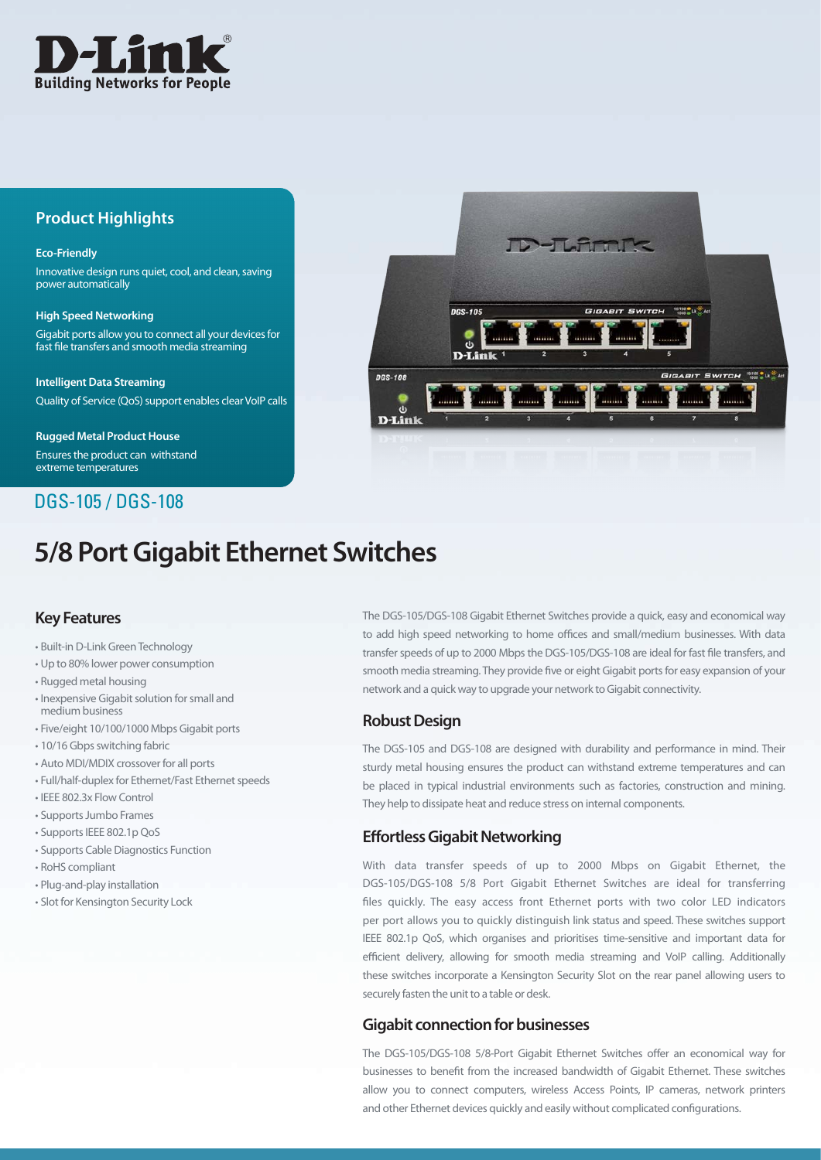

# **Product Highlights**

#### **Eco-Friendly**

Innovative design runs quiet, cool, and clean, saving power automatically

**High Speed Networking** Gigabit ports allow you to connect all your devices for fast file transfers and smooth media streaming

**Intelligent Data Streaming** Quality of Service (QoS) support enables clear VoIP calls

**Rugged Metal Product House** Ensures the product can withstand extreme temperatures

# DGS-105 / DGS-108

# **5/8 Port Gigabit Ethernet Switches**

## **Key Features**

- Built-in D-Link Green Technology
- • Up to 80% lower power consumption
- • Rugged metal housing
- Inexpensive Gigabit solution for small and medium business
- • Five/eight 10/100/1000 Mbps Gigabit ports
- 10/16 Gbps switching fabric
- Auto MDI/MDIX crossover for all ports
- Full/half-duplex for Ethernet/Fast Ethernet speeds
- • IEEE 802.3x Flow Control
- Supports Jumbo Frames
- Supports IEEE 802.1p QoS
- Supports Cable Diagnostics Function
- • RoHS compliant
- • Plug-and-play installation
- Slot for Kensington Security Lock

The DGS-105/DGS-108 Gigabit Ethernet Switches provide a quick, easy and economical way to add high speed networking to home offices and small/medium businesses. With data transfer speeds of up to 2000 Mbps the DGS-105/DGS-108 are ideal for fast file transfers, and smooth media streaming. They provide five or eight Gigabit ports for easy expansion of your network and a quick way to upgrade your network to Gigabit connectivity.

#### **Robust Design**

The DGS-105 and DGS-108 are designed with durability and performance in mind. Their sturdy metal housing ensures the product can withstand extreme temperatures and can be placed in typical industrial environments such as factories, construction and mining. They help to dissipate heat and reduce stress on internal components.

#### **Effortless Gigabit Networking**

With data transfer speeds of up to 2000 Mbps on Gigabit Ethernet, the DGS-105/DGS-108 5/8 Port Gigabit Ethernet Switches are ideal for transferring files quickly. The easy access front Ethernet ports with two color LED indicators per port allows you to quickly distinguish link status and speed. These switches support IEEE 802.1p QoS, which organises and prioritises time-sensitive and important data for efficient delivery, allowing for smooth media streaming and VoIP calling. Additionally these switches incorporate a Kensington Security Slot on the rear panel allowing users to securely fasten the unit to a table or desk.

#### **Gigabit connection for businesses**

The DGS-105/DGS-108 5/8-Port Gigabit Ethernet Switches offer an economical way for businesses to benefit from the increased bandwidth of Gigabit Ethernet. These switches allow you to connect computers, wireless Access Points, IP cameras, network printers and other Ethernet devices quickly and easily without complicated configurations.

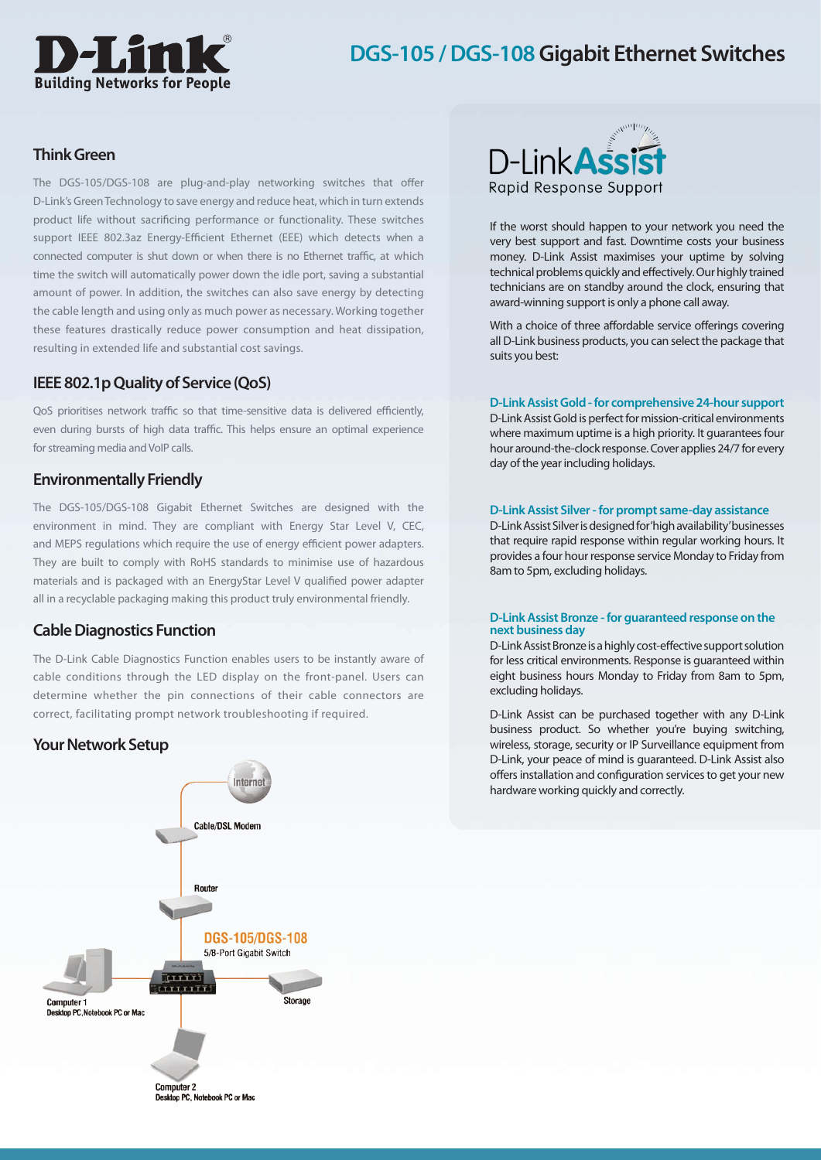# **Building Networks for People**

# **DGS-105 / DGS-108 Gigabit Ethernet Switches**

## **Think Green**

The DGS-105/DGS-108 are plug-and-play networking switches that offer D-Link's Green Technology to save energy and reduce heat, which in turn extends product life without sacrificing performance or functionality. These switches support IEEE 802.3az Energy-Efficient Ethernet (EEE) which detects when a connected computer is shut down or when there is no Ethernet traffic, at which time the switch will automatically power down the idle port, saving a substantial amount of power. In addition, the switches can also save energy by detecting the cable length and using only as much power as necessary. Working together these features drastically reduce power consumption and heat dissipation, resulting in extended life and substantial cost savings.

## **IEEE 802.1p Quality of Service (QoS)**

QoS prioritises network traffic so that time-sensitive data is delivered efficiently, even during bursts of high data traffic. This helps ensure an optimal experience for streaming media and VoIP calls.

### **Environmentally Friendly**

The DGS-105/DGS-108 Gigabit Ethernet Switches are designed with the environment in mind. They are compliant with Energy Star Level V, CEC, and MEPS regulations which require the use of energy efficient power adapters. They are built to comply with RoHS standards to minimise use of hazardous materials and is packaged with an EnergyStar Level V qualified power adapter all in a recyclable packaging making this product truly environmental friendly.

#### **Cable Diagnostics Function**

The D-Link Cable Diagnostics Function enables users to be instantly aware of cable conditions through the LED display on the front-panel. Users can determine whether the pin connections of their cable connectors are correct, facilitating prompt network troubleshooting if required.





If the worst should happen to your network you need the very best support and fast. Downtime costs your business money. D-Link Assist maximises your uptime by solving technical problems quickly and effectively. Our highly trained technicians are on standby around the clock, ensuring that award-winning support is only a phone call away.

With a choice of three affordable service offerings covering all D-Link business products, you can select the package that suits you best:

#### **D-Link Assist Gold - for comprehensive 24-hour support**

D-Link Assist Gold is perfect for mission-critical environments where maximum uptime is a high priority. It quarantees four hour around-the-clock response.Cover applies 24/7 for every day of the year including holidays.

#### **D-Link Assist Silver - for prompt same-day assistance**

D-Link Assist Silver is designed for 'high availability' businesses that require rapid response within regular working hours. It provides a four hour response service Monday to Friday from 8am to 5pm, excluding holidays.

#### **D-Link Assist Bronze - for guaranteed response on the next business day**

D-Link Assist Bronze is a highly cost-effective support solution for less critical environments. Response is guaranteed within eight business hours Monday to Friday from 8am to 5pm, excluding holidays.

D-Link Assist can be purchased together with any D-Link business product. So whether you're buying switching, wireless, storage, security or IP Surveillance equipment from D-Link, your peace of mind is guaranteed. D-Link Assist also offers installation and configuration services to get your new hardware working quickly and correctly.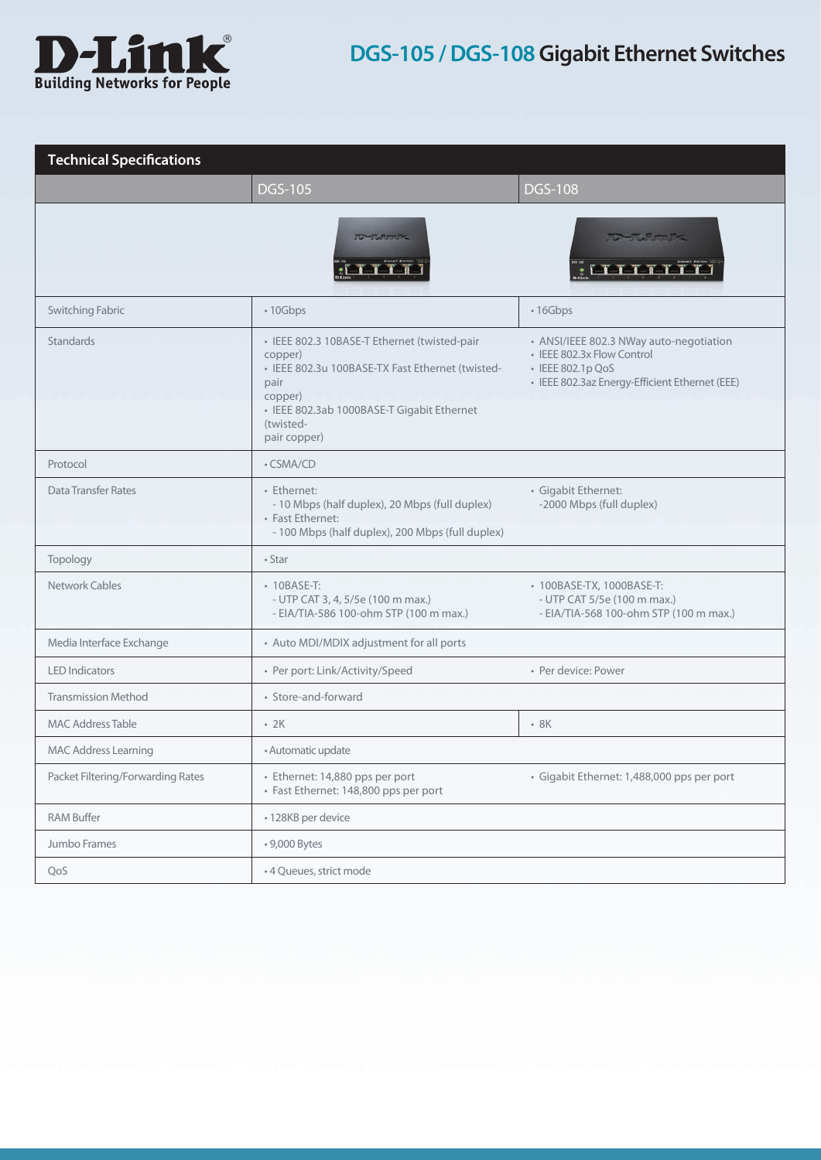![](_page_2_Picture_0.jpeg)

# **DGS-105 / DGS-108 Gigabit Ethernet Switches**

| <b>Technical Specifications</b>   |                                                                                                                                                                                                           |                                                                                                                                              |  |
|-----------------------------------|-----------------------------------------------------------------------------------------------------------------------------------------------------------------------------------------------------------|----------------------------------------------------------------------------------------------------------------------------------------------|--|
|                                   | <b>DGS-105</b>                                                                                                                                                                                            | <b>DGS-108</b>                                                                                                                               |  |
|                                   | <b>TD-TLARTIC</b>                                                                                                                                                                                         | <b>TO-TURMING</b><br><b>EASAA</b>                                                                                                            |  |
| Switching Fabric                  | • 10Gbps                                                                                                                                                                                                  | • 16Gbps                                                                                                                                     |  |
| Standards                         | · IEEE 802.3 10BASE-T Ethernet (twisted-pair<br>copper)<br>· IEEE 802.3u 100BASE-TX Fast Ethernet (twisted-<br>pair<br>copper)<br>· IEEE 802.3ab 1000BASE-T Gigabit Ethernet<br>(twisted-<br>pair copper) | • ANSI/IEEE 802.3 NWay auto-negotiation<br>• IEEE 802.3x Flow Control<br>• IEEE 802.1p QoS<br>· IEEE 802.3az Energy-Efficient Ethernet (EEE) |  |
| Protocol                          | • CSMA/CD                                                                                                                                                                                                 |                                                                                                                                              |  |
| Data Transfer Rates               | • Ethernet:<br>- 10 Mbps (half duplex), 20 Mbps (full duplex)<br>• Fast Ethernet:<br>- 100 Mbps (half duplex), 200 Mbps (full duplex)                                                                     | · Gigabit Ethernet:<br>-2000 Mbps (full duplex)                                                                                              |  |
| Topology                          | $•$ Star                                                                                                                                                                                                  |                                                                                                                                              |  |
| Network Cables                    | • 10BASE-T:<br>- UTP CAT 3, 4, 5/5e (100 m max.)<br>- EIA/TIA-586 100-ohm STP (100 m max.)                                                                                                                | • 100BASE-TX, 1000BASE-T:<br>- UTP CAT 5/5e (100 m max.)<br>- EIA/TIA-568 100-ohm STP (100 m max.)                                           |  |
| Media Interface Exchange          | • Auto MDI/MDIX adjustment for all ports                                                                                                                                                                  |                                                                                                                                              |  |
| <b>LED</b> Indicators             | • Per port: Link/Activity/Speed                                                                                                                                                                           | • Per device: Power                                                                                                                          |  |
| <b>Transmission Method</b>        | • Store-and-forward                                                                                                                                                                                       |                                                                                                                                              |  |
| <b>MAC Address Table</b>          | $-2K$                                                                                                                                                                                                     | $-8K$                                                                                                                                        |  |
| <b>MAC Address Learning</b>       | • Automatic update                                                                                                                                                                                        |                                                                                                                                              |  |
| Packet Filtering/Forwarding Rates | · Ethernet: 14,880 pps per port<br>· Fast Ethernet: 148,800 pps per port                                                                                                                                  | · Gigabit Ethernet: 1,488,000 pps per port                                                                                                   |  |
| <b>RAM Buffer</b>                 | • 128KB per device                                                                                                                                                                                        |                                                                                                                                              |  |
| Jumbo Frames                      | • 9,000 Bytes                                                                                                                                                                                             |                                                                                                                                              |  |
| QoS                               | • 4 Queues, strict mode                                                                                                                                                                                   |                                                                                                                                              |  |